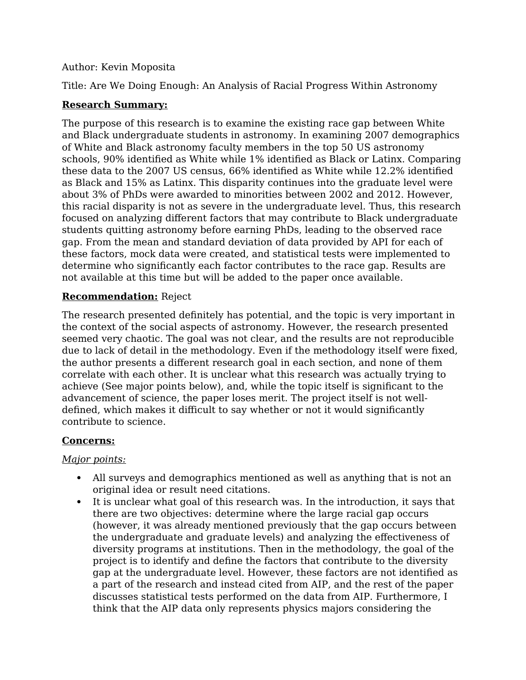## Author: Kevin Moposita

Title: Are We Doing Enough: An Analysis of Racial Progress Within Astronomy

## **Research Summary:**

The purpose of this research is to examine the existing race gap between White and Black undergraduate students in astronomy. In examining 2007 demographics of White and Black astronomy faculty members in the top 50 US astronomy schools, 90% identified as White while 1% identified as Black or Latinx. Comparing these data to the 2007 US census, 66% identified as White while 12.2% identified as Black and 15% as Latinx. This disparity continues into the graduate level were about 3% of PhDs were awarded to minorities between 2002 and 2012. However, this racial disparity is not as severe in the undergraduate level. Thus, this research focused on analyzing different factors that may contribute to Black undergraduate students quitting astronomy before earning PhDs, leading to the observed race gap. From the mean and standard deviation of data provided by API for each of these factors, mock data were created, and statistical tests were implemented to determine who significantly each factor contributes to the race gap. Results are not available at this time but will be added to the paper once available.

## **Recommendation:** Reject

The research presented definitely has potential, and the topic is very important in the context of the social aspects of astronomy. However, the research presented seemed very chaotic. The goal was not clear, and the results are not reproducible due to lack of detail in the methodology. Even if the methodology itself were fixed, the author presents a different research goal in each section, and none of them correlate with each other. It is unclear what this research was actually trying to achieve (See major points below), and, while the topic itself is significant to the advancement of science, the paper loses merit. The project itself is not welldefined, which makes it difficult to say whether or not it would significantly contribute to science.

## **Concerns:**

## *Major points:*

- All surveys and demographics mentioned as well as anything that is not an original idea or result need citations.
- It is unclear what goal of this research was. In the introduction, it says that there are two objectives: determine where the large racial gap occurs (however, it was already mentioned previously that the gap occurs between the undergraduate and graduate levels) and analyzing the effectiveness of diversity programs at institutions. Then in the methodology, the goal of the project is to identify and define the factors that contribute to the diversity gap at the undergraduate level. However, these factors are not identified as a part of the research and instead cited from AIP, and the rest of the paper discusses statistical tests performed on the data from AIP. Furthermore, I think that the AIP data only represents physics majors considering the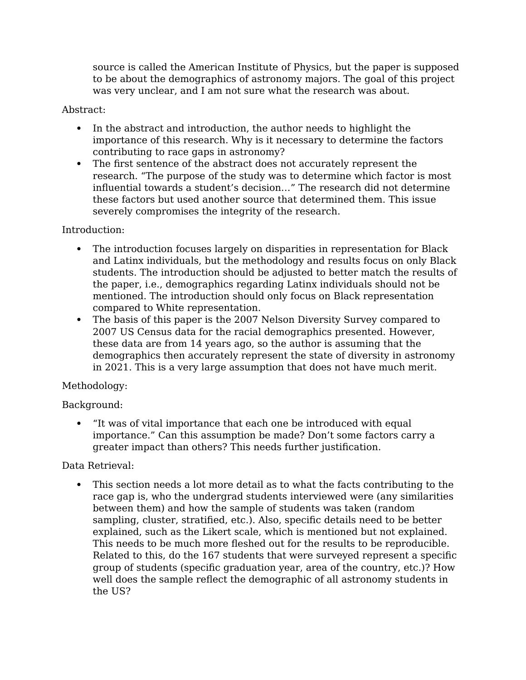source is called the American Institute of Physics, but the paper is supposed to be about the demographics of astronomy majors. The goal of this project was very unclear, and I am not sure what the research was about.

## Abstract:

- In the abstract and introduction, the author needs to highlight the importance of this research. Why is it necessary to determine the factors contributing to race gaps in astronomy?
- The first sentence of the abstract does not accurately represent the research. "The purpose of the study was to determine which factor is most influential towards a student's decision…" The research did not determine these factors but used another source that determined them. This issue severely compromises the integrity of the research.

## Introduction:

- The introduction focuses largely on disparities in representation for Black and Latinx individuals, but the methodology and results focus on only Black students. The introduction should be adjusted to better match the results of the paper, i.e., demographics regarding Latinx individuals should not be mentioned. The introduction should only focus on Black representation compared to White representation.
- The basis of this paper is the 2007 Nelson Diversity Survey compared to 2007 US Census data for the racial demographics presented. However, these data are from 14 years ago, so the author is assuming that the demographics then accurately represent the state of diversity in astronomy in 2021. This is a very large assumption that does not have much merit.

# Methodology:

# Background:

 "It was of vital importance that each one be introduced with equal importance." Can this assumption be made? Don't some factors carry a greater impact than others? This needs further justification.

# Data Retrieval:

 This section needs a lot more detail as to what the facts contributing to the race gap is, who the undergrad students interviewed were (any similarities between them) and how the sample of students was taken (random sampling, cluster, stratified, etc.). Also, specific details need to be better explained, such as the Likert scale, which is mentioned but not explained. This needs to be much more fleshed out for the results to be reproducible. Related to this, do the 167 students that were surveyed represent a specific group of students (specific graduation year, area of the country, etc.)? How well does the sample reflect the demographic of all astronomy students in the US?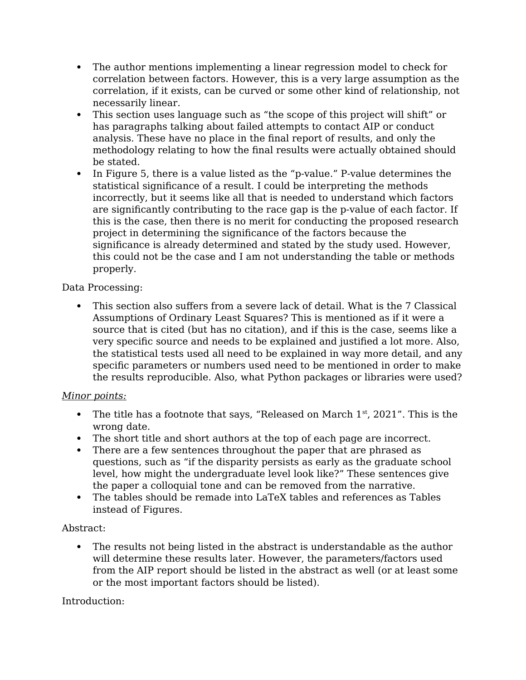- The author mentions implementing a linear regression model to check for correlation between factors. However, this is a very large assumption as the correlation, if it exists, can be curved or some other kind of relationship, not necessarily linear.
- This section uses language such as "the scope of this project will shift" or has paragraphs talking about failed attempts to contact AIP or conduct analysis. These have no place in the final report of results, and only the methodology relating to how the final results were actually obtained should be stated.
- In Figure 5, there is a value listed as the "p-value." P-value determines the statistical significance of a result. I could be interpreting the methods incorrectly, but it seems like all that is needed to understand which factors are significantly contributing to the race gap is the p-value of each factor. If this is the case, then there is no merit for conducting the proposed research project in determining the significance of the factors because the significance is already determined and stated by the study used. However, this could not be the case and I am not understanding the table or methods properly.

## Data Processing:

 This section also suffers from a severe lack of detail. What is the 7 Classical Assumptions of Ordinary Least Squares? This is mentioned as if it were a source that is cited (but has no citation), and if this is the case, seems like a very specific source and needs to be explained and justified a lot more. Also, the statistical tests used all need to be explained in way more detail, and any specific parameters or numbers used need to be mentioned in order to make the results reproducible. Also, what Python packages or libraries were used?

# *Minor points:*

- The title has a footnote that says, "Released on March  $1<sup>st</sup>$ , 2021". This is the wrong date.
- The short title and short authors at the top of each page are incorrect.
- There are a few sentences throughout the paper that are phrased as questions, such as "if the disparity persists as early as the graduate school level, how might the undergraduate level look like?" These sentences give the paper a colloquial tone and can be removed from the narrative.
- The tables should be remade into LaTeX tables and references as Tables instead of Figures.

# Abstract:

 The results not being listed in the abstract is understandable as the author will determine these results later. However, the parameters/factors used from the AIP report should be listed in the abstract as well (or at least some or the most important factors should be listed).

# Introduction: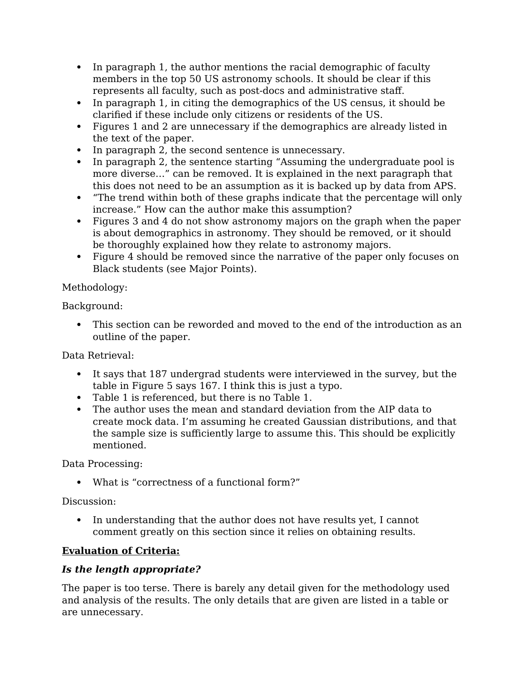- In paragraph 1, the author mentions the racial demographic of faculty members in the top 50 US astronomy schools. It should be clear if this represents all faculty, such as post-docs and administrative staff.
- In paragraph 1, in citing the demographics of the US census, it should be clarified if these include only citizens or residents of the US.
- Figures 1 and 2 are unnecessary if the demographics are already listed in the text of the paper.
- In paragraph 2, the second sentence is unnecessary.
- In paragraph 2, the sentence starting "Assuming the undergraduate pool is more diverse…" can be removed. It is explained in the next paragraph that this does not need to be an assumption as it is backed up by data from APS.
- "The trend within both of these graphs indicate that the percentage will only increase." How can the author make this assumption?
- Figures 3 and 4 do not show astronomy majors on the graph when the paper is about demographics in astronomy. They should be removed, or it should be thoroughly explained how they relate to astronomy majors.
- Figure 4 should be removed since the narrative of the paper only focuses on Black students (see Major Points).

# Methodology:

Background:

 This section can be reworded and moved to the end of the introduction as an outline of the paper.

Data Retrieval:

- It says that 187 undergrad students were interviewed in the survey, but the table in Figure 5 says 167. I think this is just a typo.
- Table 1 is referenced, but there is no Table 1.
- The author uses the mean and standard deviation from the AIP data to create mock data. I'm assuming he created Gaussian distributions, and that the sample size is sufficiently large to assume this. This should be explicitly mentioned.

Data Processing:

What is "correctness of a functional form?"

Discussion:

 In understanding that the author does not have results yet, I cannot comment greatly on this section since it relies on obtaining results.

# **Evaluation of Criteria:**

# *Is the length appropriate?*

The paper is too terse. There is barely any detail given for the methodology used and analysis of the results. The only details that are given are listed in a table or are unnecessary.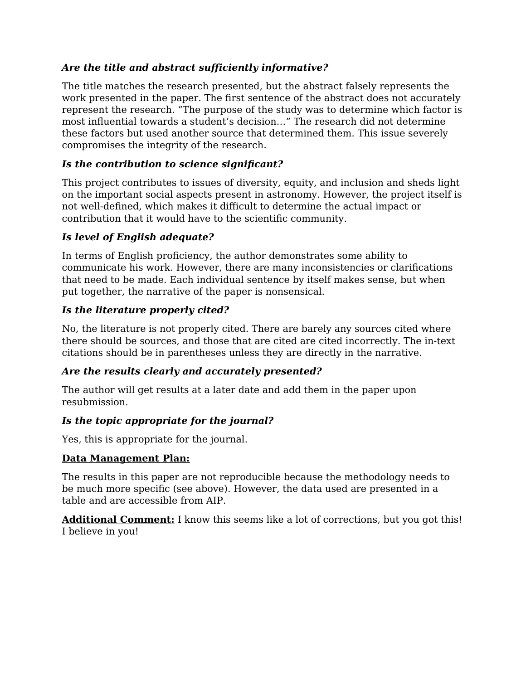# *Are the title and abstract sufficiently informative?*

The title matches the research presented, but the abstract falsely represents the work presented in the paper. The first sentence of the abstract does not accurately represent the research. "The purpose of the study was to determine which factor is most influential towards a student's decision…" The research did not determine these factors but used another source that determined them. This issue severely compromises the integrity of the research.

# *Is the contribution to science significant?*

This project contributes to issues of diversity, equity, and inclusion and sheds light on the important social aspects present in astronomy. However, the project itself is not well-defined, which makes it difficult to determine the actual impact or contribution that it would have to the scientific community.

## *Is level of English adequate?*

In terms of English proficiency, the author demonstrates some ability to communicate his work. However, there are many inconsistencies or clarifications that need to be made. Each individual sentence by itself makes sense, but when put together, the narrative of the paper is nonsensical.

## *Is the literature properly cited?*

No, the literature is not properly cited. There are barely any sources cited where there should be sources, and those that are cited are cited incorrectly. The in-text citations should be in parentheses unless they are directly in the narrative.

## *Are the results clearly and accurately presented?*

The author will get results at a later date and add them in the paper upon resubmission.

# *Is the topic appropriate for the journal?*

Yes, this is appropriate for the journal.

## **Data Management Plan:**

The results in this paper are not reproducible because the methodology needs to be much more specific (see above). However, the data used are presented in a table and are accessible from AIP.

**Additional Comment:** I know this seems like a lot of corrections, but you got this! I believe in you!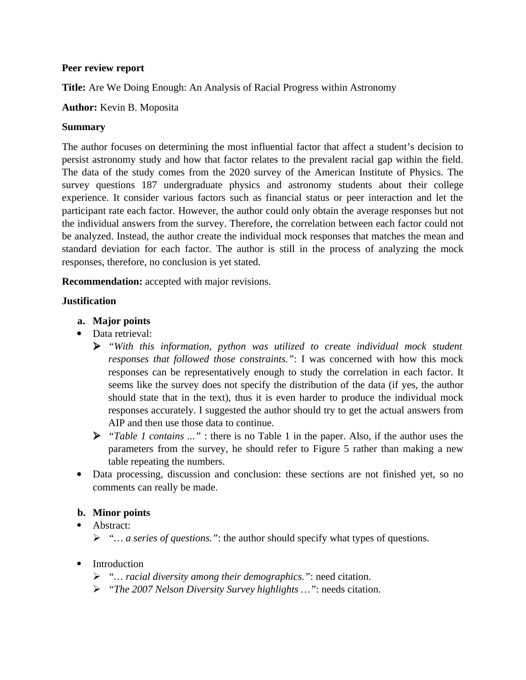### **Peer review report**

**Title:** Are We Doing Enough: An Analysis of Racial Progress within Astronomy

### **Author:** Kevin B. Moposita

### **Summary**

The author focuses on determining the most influential factor that affect a student's decision to persist astronomy study and how that factor relates to the prevalent racial gap within the field. The data of the study comes from the 2020 survey of the American Institute of Physics. The survey questions 187 undergraduate physics and astronomy students about their college experience. It consider various factors such as financial status or peer interaction and let the participant rate each factor. However, the author could only obtain the average responses but not the individual answers from the survey. Therefore, the correlation between each factor could not be analyzed. Instead, the author create the individual mock responses that matches the mean and standard deviation for each factor. The author is still in the process of analyzing the mock responses, therefore, no conclusion is yet stated.

**Recommendation:** accepted with major revisions.

### **Justification**

- **a. Major points**
- Data retrieval:
	- *"With this information, python was utilized to create individual mock student responses that followed those constraints."*: I was concerned with how this mock responses can be representatively enough to study the correlation in each factor. It seems like the survey does not specify the distribution of the data (if yes, the author should state that in the text), thus it is even harder to produce the individual mock responses accurately. I suggested the author should try to get the actual answers from AIP and then use those data to continue.
	- *"Table 1 contains ..."* : there is no Table 1 in the paper. Also, if the author uses the parameters from the survey, he should refer to Figure 5 rather than making a new table repeating the numbers.
- Data processing, discussion and conclusion: these sections are not finished yet, so no comments can really be made.

### **b. Minor points**

- Abstract:
	- *"… a series of questions."*: the author should specify what types of questions.
- Introduction
	- *"… racial diversity among their demographics."*: need citation.
	- *"The 2007 Nelson Diversity Survey highlights …"*: needs citation.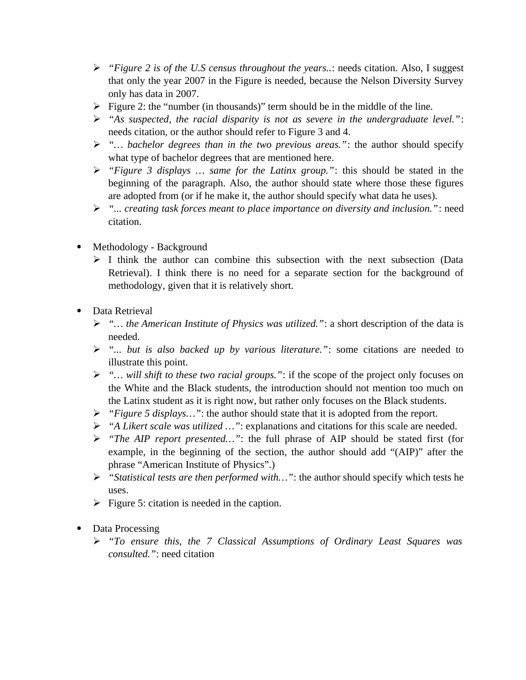- *"Figure 2 is of the U.S census throughout the years..*: needs citation. Also, I suggest that only the year 2007 in the Figure is needed, because the Nelson Diversity Survey only has data in 2007.
- $\triangleright$  Figure 2: the "number (in thousands)" term should be in the middle of the line.
- *"As suspected, the racial disparity is not as severe in the undergraduate level."*: needs citation, or the author should refer to Figure 3 and 4.
- *"… bachelor degrees than in the two previous areas."*: the author should specify what type of bachelor degrees that are mentioned here.
- *"Figure 3 displays … same for the Latinx group."*: this should be stated in the beginning of the paragraph. Also, the author should state where those these figures are adopted from (or if he make it, the author should specify what data he uses).
- *"... creating task forces meant to place importance on diversity and inclusion."*: need citation.
- Methodology Background
	- $\triangleright$  I think the author can combine this subsection with the next subsection (Data Retrieval). I think there is no need for a separate section for the background of methodology, given that it is relatively short.
- Data Retrieval
	- *"… the American Institute of Physics was utilized."*: a short description of the data is needed.
	- *"... but is also backed up by various literature."*: some citations are needed to illustrate this point.
	- *"… will shift to these two racial groups."*: if the scope of the project only focuses on the White and the Black students, the introduction should not mention too much on the Latinx student as it is right now, but rather only focuses on the Black students.
	- *"Figure 5 displays…"*: the author should state that it is adopted from the report.
	- *"A Likert scale was utilized …"*: explanations and citations for this scale are needed.
	- *"The AIP report presented…"*: the full phrase of AIP should be stated first (for example, in the beginning of the section, the author should add "(AIP)" after the phrase "American Institute of Physics".)
	- *"Statistical tests are then performed with…"*: the author should specify which tests he uses.
	- $\triangleright$  Figure 5: citation is needed in the caption.
- Data Processing
	- *"To ensure this, the 7 Classical Assumptions of Ordinary Least Squares was consulted."*: need citation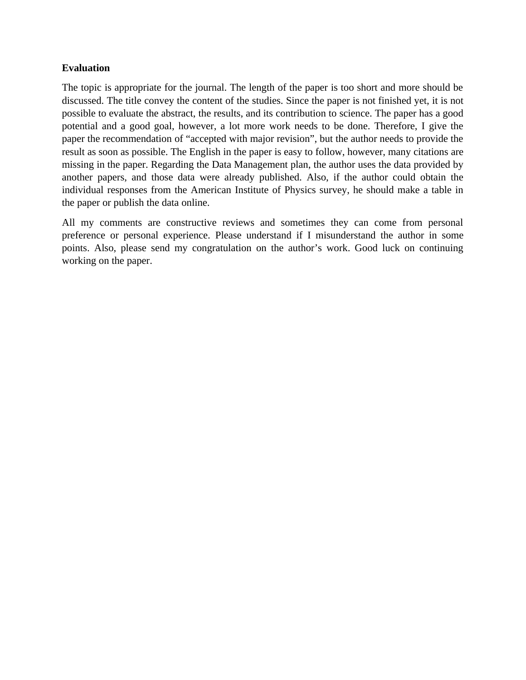### **Evaluation**

The topic is appropriate for the journal. The length of the paper is too short and more should be discussed. The title convey the content of the studies. Since the paper is not finished yet, it is not possible to evaluate the abstract, the results, and its contribution to science. The paper has a good potential and a good goal, however, a lot more work needs to be done. Therefore, I give the paper the recommendation of "accepted with major revision", but the author needs to provide the result as soon as possible. The English in the paper is easy to follow, however, many citations are missing in the paper. Regarding the Data Management plan, the author uses the data provided by another papers, and those data were already published. Also, if the author could obtain the individual responses from the American Institute of Physics survey, he should make a table in the paper or publish the data online.

All my comments are constructive reviews and sometimes they can come from personal preference or personal experience. Please understand if I misunderstand the author in some points. Also, please send my congratulation on the author's work. Good luck on continuing working on the paper.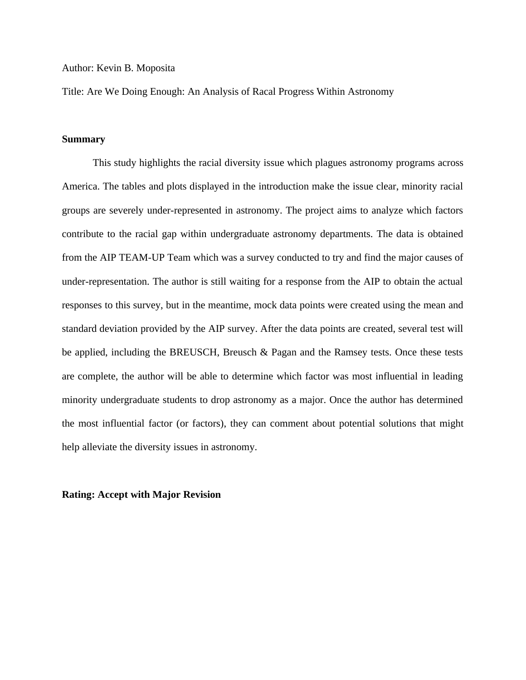#### Author: Kevin B. Moposita

Title: Are We Doing Enough: An Analysis of Racal Progress Within Astronomy

### **Summary**

This study highlights the racial diversity issue which plagues astronomy programs across America. The tables and plots displayed in the introduction make the issue clear, minority racial groups are severely under-represented in astronomy. The project aims to analyze which factors contribute to the racial gap within undergraduate astronomy departments. The data is obtained from the AIP TEAM-UP Team which was a survey conducted to try and find the major causes of under-representation. The author is still waiting for a response from the AIP to obtain the actual responses to this survey, but in the meantime, mock data points were created using the mean and standard deviation provided by the AIP survey. After the data points are created, several test will be applied, including the BREUSCH, Breusch & Pagan and the Ramsey tests. Once these tests are complete, the author will be able to determine which factor was most influential in leading minority undergraduate students to drop astronomy as a major. Once the author has determined the most influential factor (or factors), they can comment about potential solutions that might help alleviate the diversity issues in astronomy.

#### **Rating: Accept with Major Revision**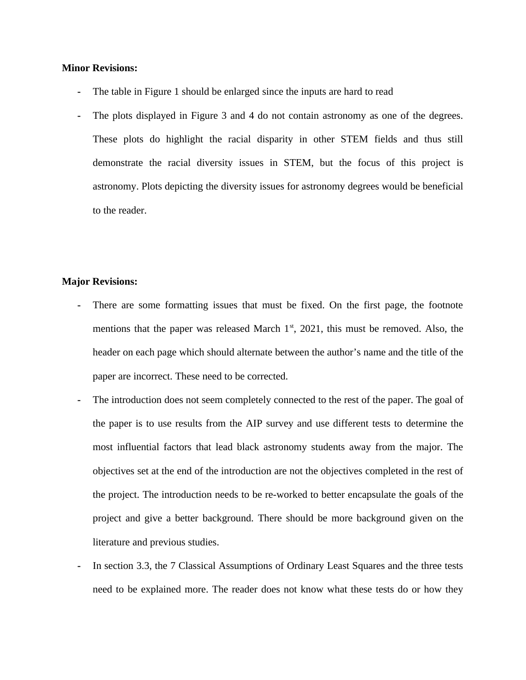#### **Minor Revisions:**

- **-** The table in Figure 1 should be enlarged since the inputs are hard to read
- **-** The plots displayed in Figure 3 and 4 do not contain astronomy as one of the degrees. These plots do highlight the racial disparity in other STEM fields and thus still demonstrate the racial diversity issues in STEM, but the focus of this project is astronomy. Plots depicting the diversity issues for astronomy degrees would be beneficial to the reader.

### **Major Revisions:**

- **-** There are some formatting issues that must be fixed. On the first page, the footnote mentions that the paper was released March  $1<sup>st</sup>$ , 2021, this must be removed. Also, the header on each page which should alternate between the author's name and the title of the paper are incorrect. These need to be corrected.
- **-** The introduction does not seem completely connected to the rest of the paper. The goal of the paper is to use results from the AIP survey and use different tests to determine the most influential factors that lead black astronomy students away from the major. The objectives set at the end of the introduction are not the objectives completed in the rest of the project. The introduction needs to be re-worked to better encapsulate the goals of the project and give a better background. There should be more background given on the literature and previous studies.
- **-** In section 3.3, the 7 Classical Assumptions of Ordinary Least Squares and the three tests need to be explained more. The reader does not know what these tests do or how they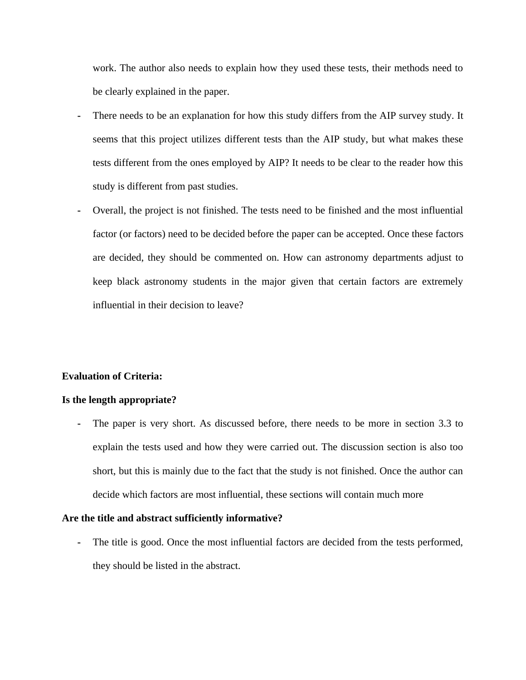work. The author also needs to explain how they used these tests, their methods need to be clearly explained in the paper.

- **-** There needs to be an explanation for how this study differs from the AIP survey study. It seems that this project utilizes different tests than the AIP study, but what makes these tests different from the ones employed by AIP? It needs to be clear to the reader how this study is different from past studies.
- **-** Overall, the project is not finished. The tests need to be finished and the most influential factor (or factors) need to be decided before the paper can be accepted. Once these factors are decided, they should be commented on. How can astronomy departments adjust to keep black astronomy students in the major given that certain factors are extremely influential in their decision to leave?

### **Evaluation of Criteria:**

#### **Is the length appropriate?**

**-** The paper is very short. As discussed before, there needs to be more in section 3.3 to explain the tests used and how they were carried out. The discussion section is also too short, but this is mainly due to the fact that the study is not finished. Once the author can decide which factors are most influential, these sections will contain much more

#### **Are the title and abstract sufficiently informative?**

**-** The title is good. Once the most influential factors are decided from the tests performed, they should be listed in the abstract.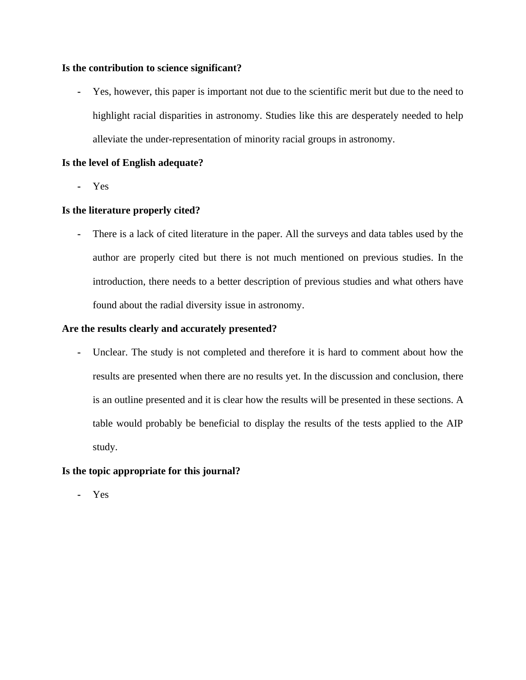### **Is the contribution to science significant?**

**-** Yes, however, this paper is important not due to the scientific merit but due to the need to highlight racial disparities in astronomy. Studies like this are desperately needed to help alleviate the under-representation of minority racial groups in astronomy.

### **Is the level of English adequate?**

**-** Yes

### **Is the literature properly cited?**

**-** There is a lack of cited literature in the paper. All the surveys and data tables used by the author are properly cited but there is not much mentioned on previous studies. In the introduction, there needs to a better description of previous studies and what others have found about the radial diversity issue in astronomy.

### **Are the results clearly and accurately presented?**

**-** Unclear. The study is not completed and therefore it is hard to comment about how the results are presented when there are no results yet. In the discussion and conclusion, there is an outline presented and it is clear how the results will be presented in these sections. A table would probably be beneficial to display the results of the tests applied to the AIP study.

### **Is the topic appropriate for this journal?**

**-** Yes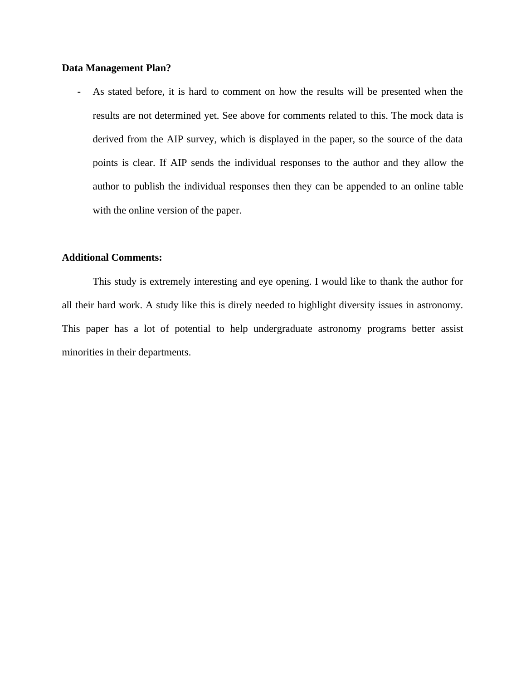#### **Data Management Plan?**

**-** As stated before, it is hard to comment on how the results will be presented when the results are not determined yet. See above for comments related to this. The mock data is derived from the AIP survey, which is displayed in the paper, so the source of the data points is clear. If AIP sends the individual responses to the author and they allow the author to publish the individual responses then they can be appended to an online table with the online version of the paper.

### **Additional Comments:**

This study is extremely interesting and eye opening. I would like to thank the author for all their hard work. A study like this is direly needed to highlight diversity issues in astronomy. This paper has a lot of potential to help undergraduate astronomy programs better assist minorities in their departments.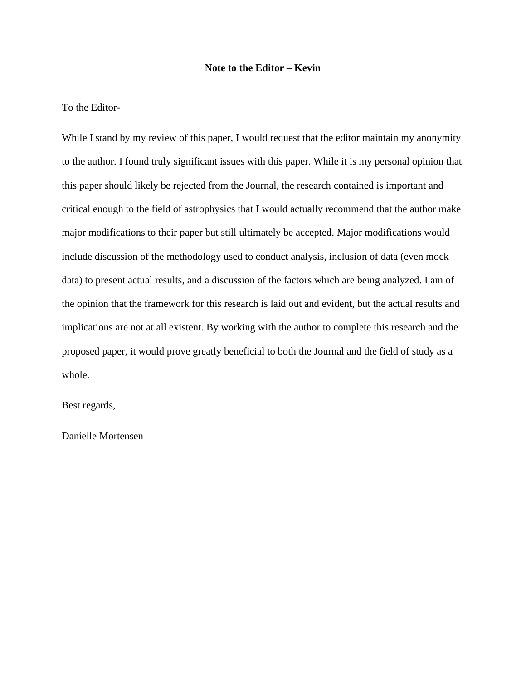#### **Note to the Editor – Kevin**

To the Editor-

While I stand by my review of this paper, I would request that the editor maintain my anonymity to the author. I found truly significant issues with this paper. While it is my personal opinion that this paper should likely be rejected from the Journal, the research contained is important and critical enough to the field of astrophysics that I would actually recommend that the author make major modifications to their paper but still ultimately be accepted. Major modifications would include discussion of the methodology used to conduct analysis, inclusion of data (even mock data) to present actual results, and a discussion of the factors which are being analyzed. I am of the opinion that the framework for this research is laid out and evident, but the actual results and implications are not at all existent. By working with the author to complete this research and the proposed paper, it would prove greatly beneficial to both the Journal and the field of study as a whole.

Best regards,

Danielle Mortensen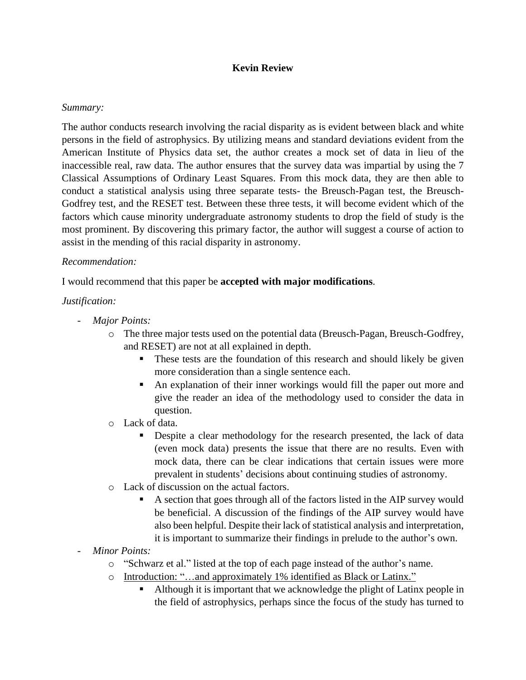## **Kevin Review**

### *Summary:*

The author conducts research involving the racial disparity as is evident between black and white persons in the field of astrophysics. By utilizing means and standard deviations evident from the American Institute of Physics data set, the author creates a mock set of data in lieu of the inaccessible real, raw data. The author ensures that the survey data was impartial by using the 7 Classical Assumptions of Ordinary Least Squares. From this mock data, they are then able to conduct a statistical analysis using three separate tests- the Breusch-Pagan test, the Breusch-Godfrey test, and the RESET test. Between these three tests, it will become evident which of the factors which cause minority undergraduate astronomy students to drop the field of study is the most prominent. By discovering this primary factor, the author will suggest a course of action to assist in the mending of this racial disparity in astronomy.

### *Recommendation:*

I would recommend that this paper be **accepted with major modifications**.

## *Justification:*

- *Major Points:*
	- o The three major tests used on the potential data (Breusch-Pagan, Breusch-Godfrey, and RESET) are not at all explained in depth.
		- **•** These tests are the foundation of this research and should likely be given more consideration than a single sentence each.
		- An explanation of their inner workings would fill the paper out more and give the reader an idea of the methodology used to consider the data in question.
	- o Lack of data.
		- Despite a clear methodology for the research presented, the lack of data (even mock data) presents the issue that there are no results. Even with mock data, there can be clear indications that certain issues were more prevalent in students' decisions about continuing studies of astronomy.
	- o Lack of discussion on the actual factors.
		- A section that goes through all of the factors listed in the AIP survey would be beneficial. A discussion of the findings of the AIP survey would have also been helpful. Despite their lack of statistical analysis and interpretation, it is important to summarize their findings in prelude to the author's own.
- *Minor Points:*
	- o "Schwarz et al." listed at the top of each page instead of the author's name.
	- o Introduction: "…and approximately 1% identified as Black or Latinx."
		- Although it is important that we acknowledge the plight of Latinx people in the field of astrophysics, perhaps since the focus of the study has turned to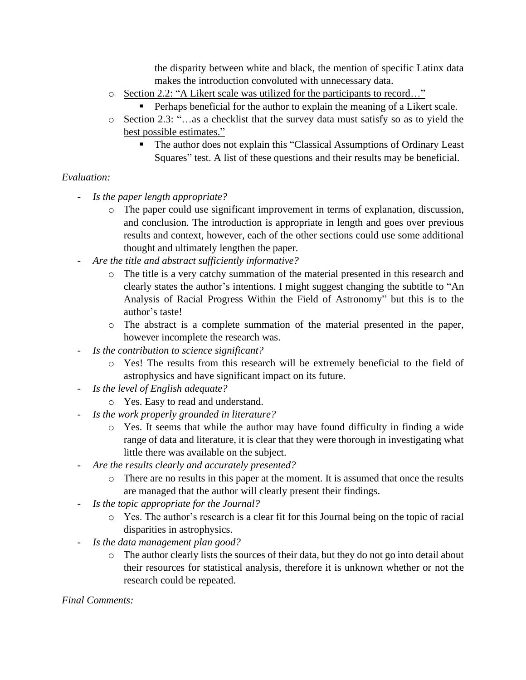the disparity between white and black, the mention of specific Latinx data makes the introduction convoluted with unnecessary data.

- o Section 2.2: "A Likert scale was utilized for the participants to record…"
	- Perhaps beneficial for the author to explain the meaning of a Likert scale.
- o Section 2.3: "…as a checklist that the survey data must satisfy so as to yield the best possible estimates."
	- The author does not explain this "Classical Assumptions of Ordinary Least Squares" test. A list of these questions and their results may be beneficial.

## *Evaluation:*

- *Is the paper length appropriate?*
	- o The paper could use significant improvement in terms of explanation, discussion, and conclusion. The introduction is appropriate in length and goes over previous results and context, however, each of the other sections could use some additional thought and ultimately lengthen the paper.
- *Are the title and abstract sufficiently informative?*
	- o The title is a very catchy summation of the material presented in this research and clearly states the author's intentions. I might suggest changing the subtitle to "An Analysis of Racial Progress Within the Field of Astronomy" but this is to the author's taste!
	- o The abstract is a complete summation of the material presented in the paper, however incomplete the research was.
- *Is the contribution to science significant?*
	- o Yes! The results from this research will be extremely beneficial to the field of astrophysics and have significant impact on its future.
- *Is the level of English adequate?*
	- o Yes. Easy to read and understand.
- *Is the work properly grounded in literature?*
	- o Yes. It seems that while the author may have found difficulty in finding a wide range of data and literature, it is clear that they were thorough in investigating what little there was available on the subject.
- *Are the results clearly and accurately presented?*
	- o There are no results in this paper at the moment. It is assumed that once the results are managed that the author will clearly present their findings.
- *Is the topic appropriate for the Journal?*
	- o Yes. The author's research is a clear fit for this Journal being on the topic of racial disparities in astrophysics.
- *Is the data management plan good?*
	- o The author clearly lists the sources of their data, but they do not go into detail about their resources for statistical analysis, therefore it is unknown whether or not the research could be repeated.

## *Final Comments:*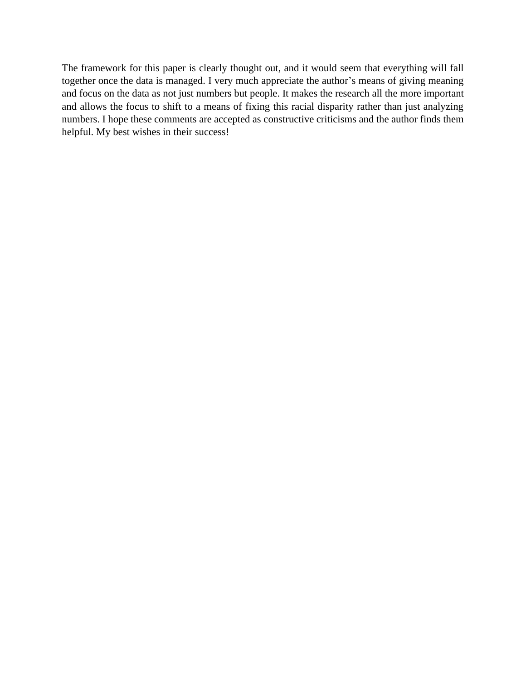The framework for this paper is clearly thought out, and it would seem that everything will fall together once the data is managed. I very much appreciate the author's means of giving meaning and focus on the data as not just numbers but people. It makes the research all the more important and allows the focus to shift to a means of fixing this racial disparity rather than just analyzing numbers. I hope these comments are accepted as constructive criticisms and the author finds them helpful. My best wishes in their success!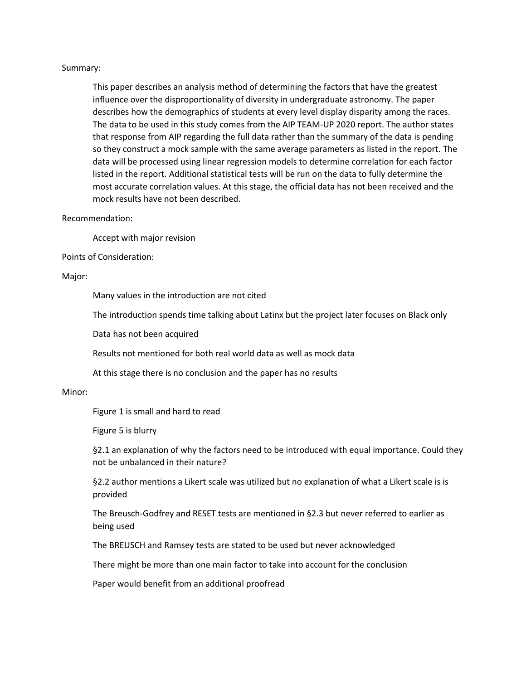#### Summary:

This paper describes an analysis method of determining the factors that have the greatest influence over the disproportionality of diversity in undergraduate astronomy. The paper describes how the demographics of students at every level display disparity among the races. The data to be used in this study comes from the AIP TEAM-UP 2020 report. The author states that response from AIP regarding the full data rather than the summary of the data is pending so they construct a mock sample with the same average parameters as listed in the report. The data will be processed using linear regression models to determine correlation for each factor listed in the report. Additional statistical tests will be run on the data to fully determine the most accurate correlation values. At this stage, the official data has not been received and the mock results have not been described.

#### Recommendation:

Accept with major revision

#### Points of Consideration:

#### Major:

Many values in the introduction are not cited

The introduction spends time talking about Latinx but the project later focuses on Black only

Data has not been acquired

Results not mentioned for both real world data as well as mock data

At this stage there is no conclusion and the paper has no results

#### Minor:

Figure 1 is small and hard to read

Figure 5 is blurry

§2.1 an explanation of why the factors need to be introduced with equal importance. Could they not be unbalanced in their nature?

§2.2 author mentions a Likert scale was utilized but no explanation of what a Likert scale is is provided

The Breusch-Godfrey and RESET tests are mentioned in §2.3 but never referred to earlier as being used

The BREUSCH and Ramsey tests are stated to be used but never acknowledged

There might be more than one main factor to take into account for the conclusion

Paper would benefit from an additional proofread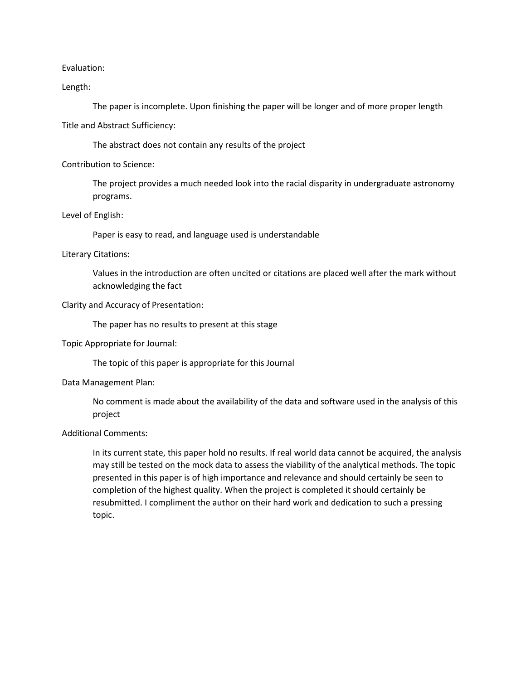Evaluation:

Length:

The paper is incomplete. Upon finishing the paper will be longer and of more proper length

Title and Abstract Sufficiency:

The abstract does not contain any results of the project

Contribution to Science:

The project provides a much needed look into the racial disparity in undergraduate astronomy programs.

Level of English:

Paper is easy to read, and language used is understandable

#### Literary Citations:

Values in the introduction are often uncited or citations are placed well after the mark without acknowledging the fact

#### Clarity and Accuracy of Presentation:

The paper has no results to present at this stage

Topic Appropriate for Journal:

The topic of this paper is appropriate for this Journal

Data Management Plan:

No comment is made about the availability of the data and software used in the analysis of this project

#### Additional Comments:

In its current state, this paper hold no results. If real world data cannot be acquired, the analysis may still be tested on the mock data to assess the viability of the analytical methods. The topic presented in this paper is of high importance and relevance and should certainly be seen to completion of the highest quality. When the project is completed it should certainly be resubmitted. I compliment the author on their hard work and dedication to such a pressing topic.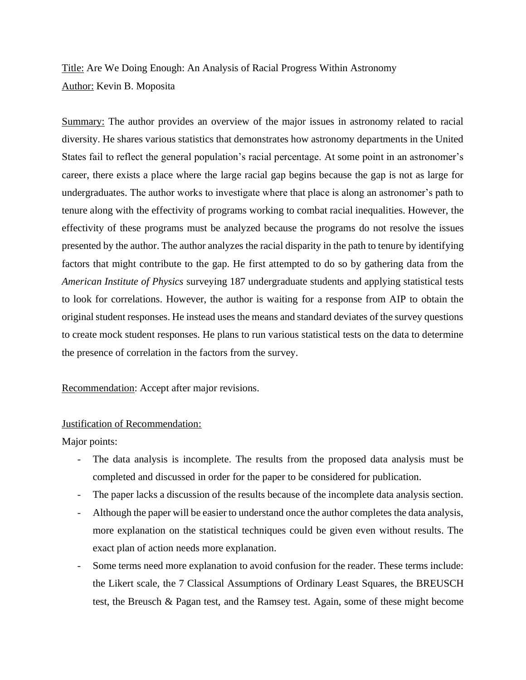# Title: Are We Doing Enough: An Analysis of Racial Progress Within Astronomy Author: Kevin B. Moposita

Summary: The author provides an overview of the major issues in astronomy related to racial diversity. He shares various statistics that demonstrates how astronomy departments in the United States fail to reflect the general population's racial percentage. At some point in an astronomer's career, there exists a place where the large racial gap begins because the gap is not as large for undergraduates. The author works to investigate where that place is along an astronomer's path to tenure along with the effectivity of programs working to combat racial inequalities. However, the effectivity of these programs must be analyzed because the programs do not resolve the issues presented by the author. The author analyzes the racial disparity in the path to tenure by identifying factors that might contribute to the gap. He first attempted to do so by gathering data from the *American Institute of Physics* surveying 187 undergraduate students and applying statistical tests to look for correlations. However, the author is waiting for a response from AIP to obtain the original student responses. He instead uses the means and standard deviates of the survey questions to create mock student responses. He plans to run various statistical tests on the data to determine the presence of correlation in the factors from the survey.

### Recommendation: Accept after major revisions.

### Justification of Recommendation:

Major points:

- The data analysis is incomplete. The results from the proposed data analysis must be completed and discussed in order for the paper to be considered for publication.
- The paper lacks a discussion of the results because of the incomplete data analysis section.
- Although the paper will be easier to understand once the author completes the data analysis, more explanation on the statistical techniques could be given even without results. The exact plan of action needs more explanation.
- Some terms need more explanation to avoid confusion for the reader. These terms include: the Likert scale, the 7 Classical Assumptions of Ordinary Least Squares, the BREUSCH test, the Breusch & Pagan test, and the Ramsey test. Again, some of these might become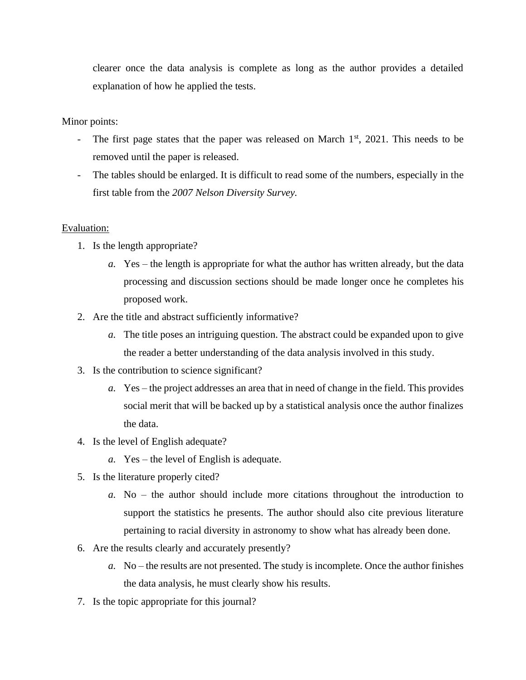clearer once the data analysis is complete as long as the author provides a detailed explanation of how he applied the tests.

### Minor points:

- The first page states that the paper was released on March  $1<sup>st</sup>$ , 2021. This needs to be removed until the paper is released.
- The tables should be enlarged. It is difficult to read some of the numbers, especially in the first table from the *2007 Nelson Diversity Survey.*

### Evaluation:

- 1. Is the length appropriate?
	- *a.* Yes the length is appropriate for what the author has written already, but the data processing and discussion sections should be made longer once he completes his proposed work.
- 2. Are the title and abstract sufficiently informative?
	- *a.* The title poses an intriguing question. The abstract could be expanded upon to give the reader a better understanding of the data analysis involved in this study.
- 3. Is the contribution to science significant?
	- *a.* Yes the project addresses an area that in need of change in the field. This provides social merit that will be backed up by a statistical analysis once the author finalizes the data.
- 4. Is the level of English adequate?
	- *a.* Yes the level of English is adequate.
- 5. Is the literature properly cited?
	- *a.* No the author should include more citations throughout the introduction to support the statistics he presents. The author should also cite previous literature pertaining to racial diversity in astronomy to show what has already been done.
- 6. Are the results clearly and accurately presently?
	- *a.* No the results are not presented. The study is incomplete. Once the author finishes the data analysis, he must clearly show his results.
- 7. Is the topic appropriate for this journal?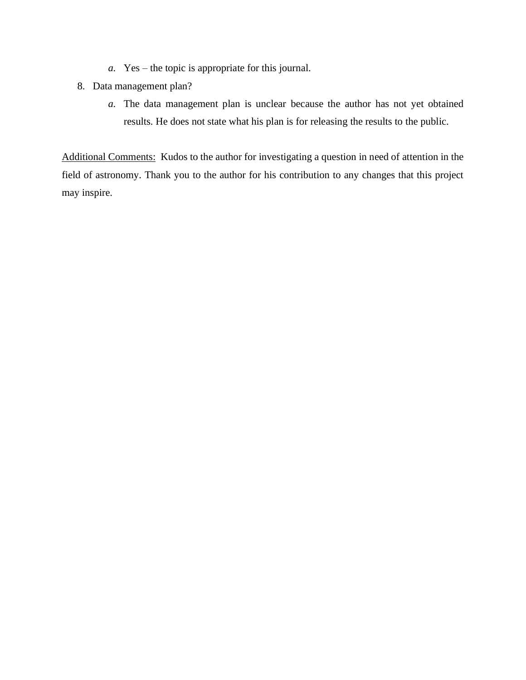- *a.* Yes the topic is appropriate for this journal.
- 8. Data management plan?
	- *a.* The data management plan is unclear because the author has not yet obtained results. He does not state what his plan is for releasing the results to the public.

Additional Comments: Kudos to the author for investigating a question in need of attention in the field of astronomy. Thank you to the author for his contribution to any changes that this project may inspire.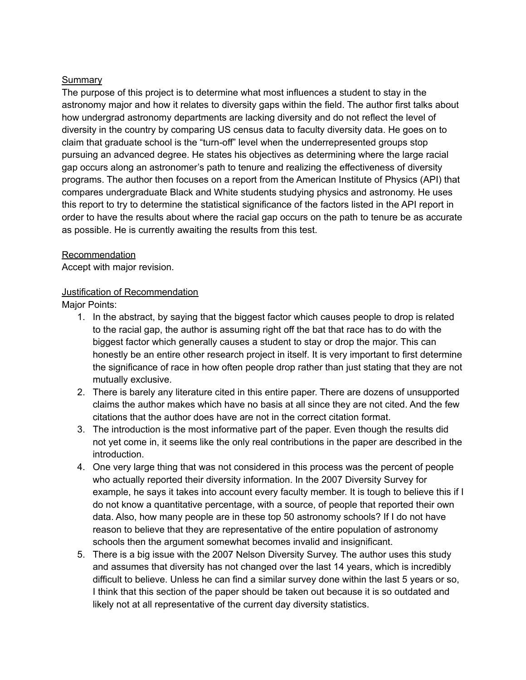## Summary

The purpose of this project is to determine what most influences a student to stay in the astronomy major and how it relates to diversity gaps within the field. The author first talks about how undergrad astronomy departments are lacking diversity and do not reflect the level of diversity in the country by comparing US census data to faculty diversity data. He goes on to claim that graduate school is the "turn-off" level when the underrepresented groups stop pursuing an advanced degree. He states his objectives as determining where the large racial gap occurs along an astronomer's path to tenure and realizing the effectiveness of diversity programs. The author then focuses on a report from the American Institute of Physics (API) that compares undergraduate Black and White students studying physics and astronomy. He uses this report to try to determine the statistical significance of the factors listed in the API report in order to have the results about where the racial gap occurs on the path to tenure be as accurate as possible. He is currently awaiting the results from this test.

### **Recommendation**

Accept with major revision.

### Justification of Recommendation

Major Points:

- 1. In the abstract, by saying that the biggest factor which causes people to drop is related to the racial gap, the author is assuming right off the bat that race has to do with the biggest factor which generally causes a student to stay or drop the major. This can honestly be an entire other research project in itself. It is very important to first determine the significance of race in how often people drop rather than just stating that they are not mutually exclusive.
- 2. There is barely any literature cited in this entire paper. There are dozens of unsupported claims the author makes which have no basis at all since they are not cited. And the few citations that the author does have are not in the correct citation format.
- 3. The introduction is the most informative part of the paper. Even though the results did not yet come in, it seems like the only real contributions in the paper are described in the introduction.
- 4. One very large thing that was not considered in this process was the percent of people who actually reported their diversity information. In the 2007 Diversity Survey for example, he says it takes into account every faculty member. It is tough to believe this if I do not know a quantitative percentage, with a source, of people that reported their own data. Also, how many people are in these top 50 astronomy schools? If I do not have reason to believe that they are representative of the entire population of astronomy schools then the argument somewhat becomes invalid and insignificant.
- 5. There is a big issue with the 2007 Nelson Diversity Survey. The author uses this study and assumes that diversity has not changed over the last 14 years, which is incredibly difficult to believe. Unless he can find a similar survey done within the last 5 years or so, I think that this section of the paper should be taken out because it is so outdated and likely not at all representative of the current day diversity statistics.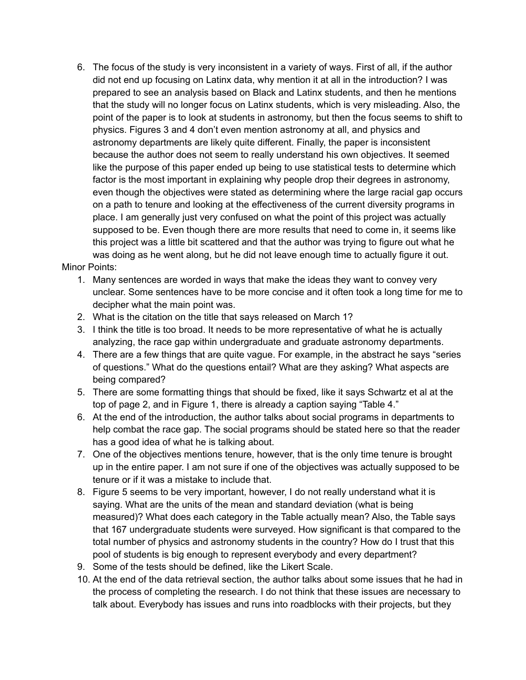- 6. The focus of the study is very inconsistent in a variety of ways. First of all, if the author did not end up focusing on Latinx data, why mention it at all in the introduction? I was prepared to see an analysis based on Black and Latinx students, and then he mentions that the study will no longer focus on Latinx students, which is very misleading. Also, the point of the paper is to look at students in astronomy, but then the focus seems to shift to physics. Figures 3 and 4 don't even mention astronomy at all, and physics and astronomy departments are likely quite different. Finally, the paper is inconsistent because the author does not seem to really understand his own objectives. It seemed like the purpose of this paper ended up being to use statistical tests to determine which factor is the most important in explaining why people drop their degrees in astronomy, even though the objectives were stated as determining where the large racial gap occurs on a path to tenure and looking at the effectiveness of the current diversity programs in place. I am generally just very confused on what the point of this project was actually supposed to be. Even though there are more results that need to come in, it seems like this project was a little bit scattered and that the author was trying to figure out what he was doing as he went along, but he did not leave enough time to actually figure it out. Minor Points:
	- 1. Many sentences are worded in ways that make the ideas they want to convey very unclear. Some sentences have to be more concise and it often took a long time for me to decipher what the main point was.
	- 2. What is the citation on the title that says released on March 1?
	- 3. I think the title is too broad. It needs to be more representative of what he is actually analyzing, the race gap within undergraduate and graduate astronomy departments.
	- 4. There are a few things that are quite vague. For example, in the abstract he says "series of questions." What do the questions entail? What are they asking? What aspects are being compared?
	- 5. There are some formatting things that should be fixed, like it says Schwartz et al at the top of page 2, and in Figure 1, there is already a caption saying "Table 4."
	- 6. At the end of the introduction, the author talks about social programs in departments to help combat the race gap. The social programs should be stated here so that the reader has a good idea of what he is talking about.
	- 7. One of the objectives mentions tenure, however, that is the only time tenure is brought up in the entire paper. I am not sure if one of the objectives was actually supposed to be tenure or if it was a mistake to include that.
	- 8. Figure 5 seems to be very important, however, I do not really understand what it is saying. What are the units of the mean and standard deviation (what is being measured)? What does each category in the Table actually mean? Also, the Table says that 167 undergraduate students were surveyed. How significant is that compared to the total number of physics and astronomy students in the country? How do I trust that this pool of students is big enough to represent everybody and every department?
	- 9. Some of the tests should be defined, like the Likert Scale.
	- 10. At the end of the data retrieval section, the author talks about some issues that he had in the process of completing the research. I do not think that these issues are necessary to talk about. Everybody has issues and runs into roadblocks with their projects, but they